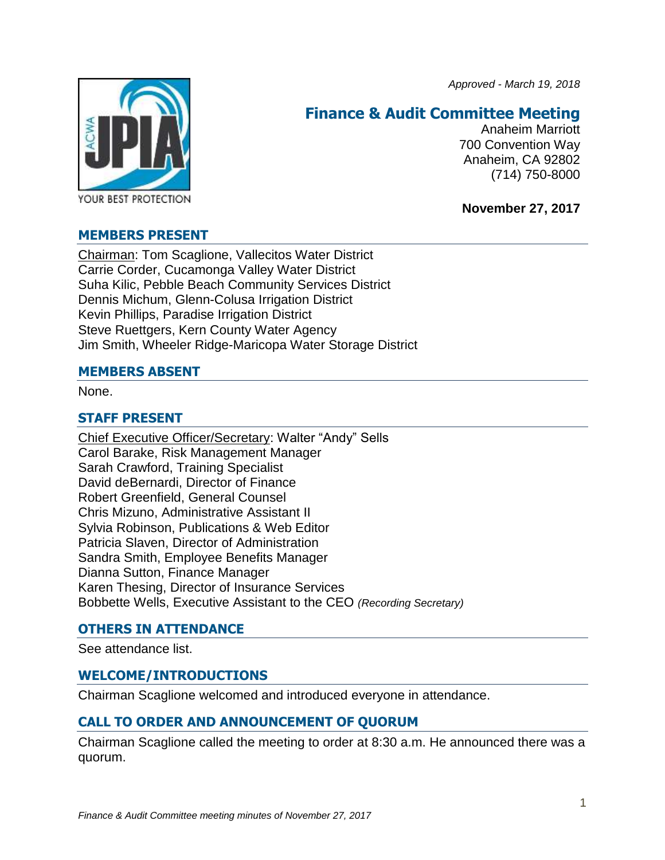*Approved - March 19, 2018*



# **Finance & Audit Committee Meeting**

Anaheim Marriott 700 Convention Way Anaheim, CA 92802 (714) 750-8000

**November 27, 2017**

### **MEMBERS PRESENT**

Chairman: Tom Scaglione, Vallecitos Water District Carrie Corder, Cucamonga Valley Water District Suha Kilic, Pebble Beach Community Services District Dennis Michum, Glenn-Colusa Irrigation District Kevin Phillips, Paradise Irrigation District Steve Ruettgers, Kern County Water Agency Jim Smith, Wheeler Ridge-Maricopa Water Storage District

### **MEMBERS ABSENT**

None.

### **STAFF PRESENT**

Chief Executive Officer/Secretary: Walter "Andy" Sells Carol Barake, Risk Management Manager Sarah Crawford, Training Specialist David deBernardi, Director of Finance Robert Greenfield, General Counsel Chris Mizuno, Administrative Assistant II Sylvia Robinson, Publications & Web Editor Patricia Slaven, Director of Administration Sandra Smith, Employee Benefits Manager Dianna Sutton, Finance Manager Karen Thesing, Director of Insurance Services Bobbette Wells, Executive Assistant to the CEO *(Recording Secretary)*

# **OTHERS IN ATTENDANCE**

See attendance list.

### **WELCOME/INTRODUCTIONS**

Chairman Scaglione welcomed and introduced everyone in attendance.

# **CALL TO ORDER AND ANNOUNCEMENT OF QUORUM**

Chairman Scaglione called the meeting to order at 8:30 a.m. He announced there was a quorum.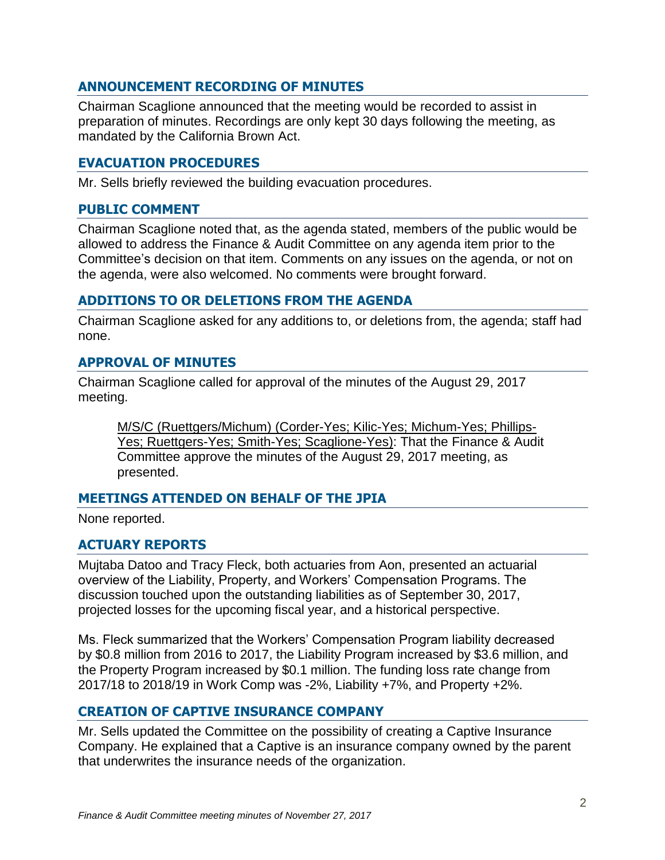### **ANNOUNCEMENT RECORDING OF MINUTES**

Chairman Scaglione announced that the meeting would be recorded to assist in preparation of minutes. Recordings are only kept 30 days following the meeting, as mandated by the California Brown Act.

### **EVACUATION PROCEDURES**

Mr. Sells briefly reviewed the building evacuation procedures.

#### **PUBLIC COMMENT**

Chairman Scaglione noted that, as the agenda stated, members of the public would be allowed to address the Finance & Audit Committee on any agenda item prior to the Committee's decision on that item. Comments on any issues on the agenda, or not on the agenda, were also welcomed. No comments were brought forward.

#### **ADDITIONS TO OR DELETIONS FROM THE AGENDA**

Chairman Scaglione asked for any additions to, or deletions from, the agenda; staff had none.

### **APPROVAL OF MINUTES**

Chairman Scaglione called for approval of the minutes of the August 29, 2017 meeting.

M/S/C (Ruettgers/Michum) (Corder-Yes; Kilic-Yes; Michum-Yes; Phillips-Yes; Ruettgers-Yes; Smith-Yes; Scaglione-Yes): That the Finance & Audit Committee approve the minutes of the August 29, 2017 meeting, as presented.

### **MEETINGS ATTENDED ON BEHALF OF THE JPIA**

None reported.

### **ACTUARY REPORTS**

Mujtaba Datoo and Tracy Fleck, both actuaries from Aon, presented an actuarial overview of the Liability, Property, and Workers' Compensation Programs. The discussion touched upon the outstanding liabilities as of September 30, 2017, projected losses for the upcoming fiscal year, and a historical perspective.

Ms. Fleck summarized that the Workers' Compensation Program liability decreased by \$0.8 million from 2016 to 2017, the Liability Program increased by \$3.6 million, and the Property Program increased by \$0.1 million. The funding loss rate change from 2017/18 to 2018/19 in Work Comp was -2%, Liability +7%, and Property +2%.

### **CREATION OF CAPTIVE INSURANCE COMPANY**

Mr. Sells updated the Committee on the possibility of creating a Captive Insurance Company. He explained that a Captive is an insurance company owned by the parent that underwrites the insurance needs of the organization.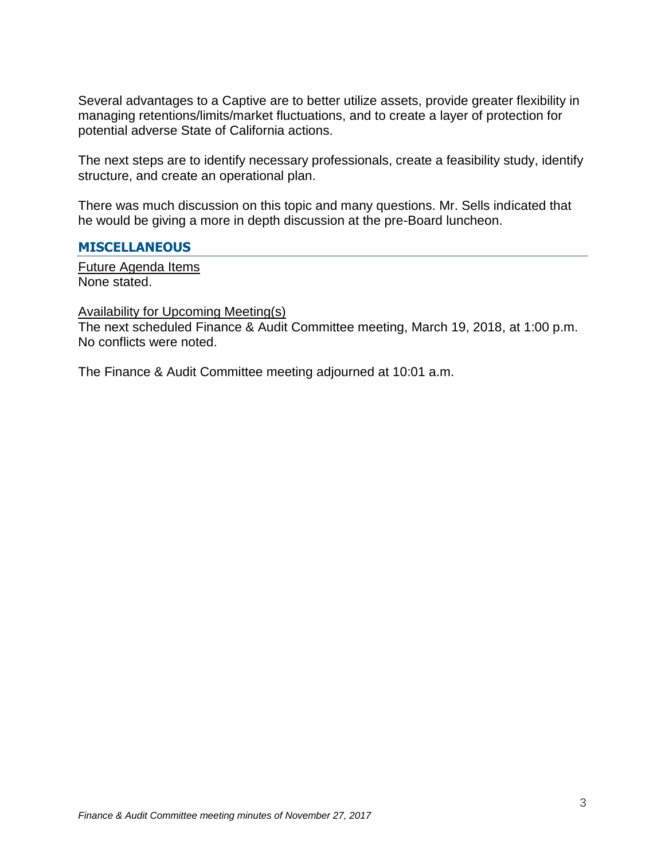Several advantages to a Captive are to better utilize assets, provide greater flexibility in managing retentions/limits/market fluctuations, and to create a layer of protection for potential adverse State of California actions.

The next steps are to identify necessary professionals, create a feasibility study, identify structure, and create an operational plan.

There was much discussion on this topic and many questions. Mr. Sells indicated that he would be giving a more in depth discussion at the pre-Board luncheon.

### **MISCELLANEOUS**

Future Agenda Items None stated.

Availability for Upcoming Meeting(s)

The next scheduled Finance & Audit Committee meeting, March 19, 2018, at 1:00 p.m. No conflicts were noted.

The Finance & Audit Committee meeting adjourned at 10:01 a.m.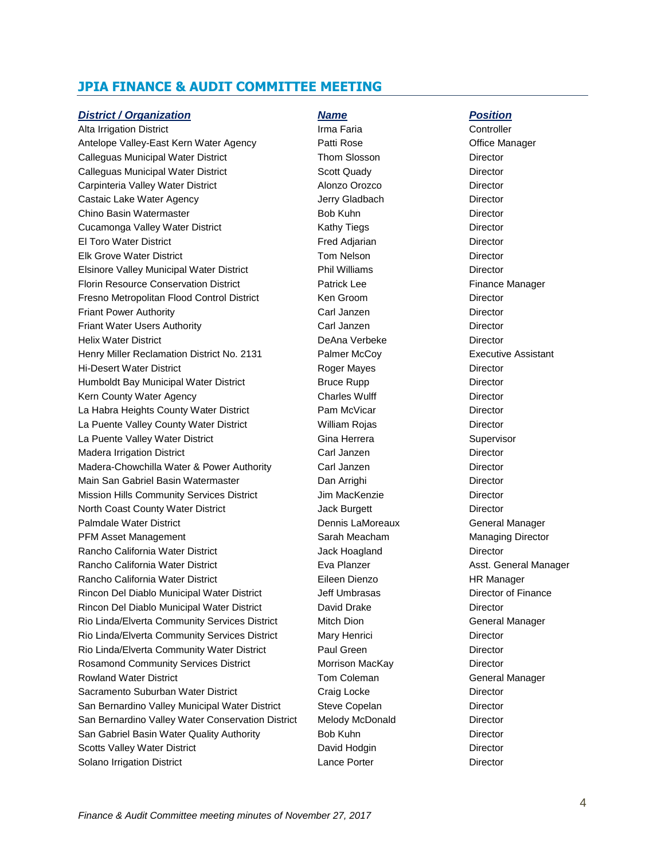#### **JPIA FINANCE & AUDIT COMMITTEE MEETING**

#### *District / Organization Name Position*

Alta Irrigation District **Irma Faria** Controller Antelope Valley-East Kern Water Agency **Patti Rose** Patti Rose **Office Manager** Calleguas Municipal Water District Thom Slosson Director Calleguas Municipal Water District **Scott Quady Calleguas Municipal Water District** Control Control Control Oriector Carpinteria Valley Water District **Alonzo Orozco** Director Castaic Lake Water Agency **Castaic Lake Water Agency** Jerry Gladbach Director Chino Basin Watermaster **Bob Kuhn** Bob Kuhn Director Cucamonga Valley Water District **Cucamonga Valley Water District Cucamonga** Valley Water District El Toro Water District **Fred Adiarian** Fred Adiarian **Director** Elk Grove Water District Tom Nelson Director Elsinore Valley Municipal Water District **Phil Williams** Phil Williams Director Florin Resource Conservation District **Finance Manager** Patrick Lee Finance Manager Fresno Metropolitan Flood Control District Ken Groom Netropolitan Director Friant Power Authority Carl Janzen Director Friant Water Users Authority **Carl Janzen** Carl Janzen **Director** Director Helix Water District **National Community Community** DeAna Verbeke Director Henry Miller Reclamation District No. 2131 Palmer McCoy Executive Assistant Hi-Desert Water District **Roger Mayes** Director Humboldt Bay Municipal Water District **Bruce Rupp Bruce Rupp Director** Kern County Water Agency **Charles Wulff** Director La Habra Heights County Water District **Pam McVicar** Pam McVicar Director La Puente Valley County Water District **William Rojas** Director La Puente Valley Water District The Communication Cina Herrera Communication Supervisor Madera Irrigation District Carl Janzen Director Madera-Chowchilla Water & Power Authority Carl Janzen Director Main San Gabriel Basin Watermaster **Dan Arrighi** Dan Arrighi Director Mission Hills Community Services District **Jim MacKenzie** Director North Coast County Water District **Material Constructs** Jack Burgett Director Palmdale Water District **Dennis Lamoreaux** Dennis LaMoreaux **Ceneral Manager** PFM Asset Management **National Sarah Meacham** Managing Director Rancho California Water District **California California Director** Jack Hoagland Director Rancho California Water District **Assemblished Eva Planzer** Asst. General Manager Asst. General Manager Rancho California Water District **Eileen Dienzo** Eileen Dienzo **HR Manager** Rincon Del Diablo Municipal Water District **Jeff Umbrasas** Director of Finance Rincon Del Diablo Municipal Water District David Drake Director Rio Linda/Elverta Community Services District Mitch Dion General Manager Rio Linda/Elverta Community Services District Mary Henrici Director Director Rio Linda/Elverta Community Water District **Paul Green** Paul Green Director Rosamond Community Services District **Morrison MacKay Director** Director Rowland Water District Tom Coleman Tom Coleman General Manager Sacramento Suburban Water District Craig Locke Craig Locke Director San Bernardino Valley Municipal Water District Steve Copelan Director San Bernardino Valley Water Conservation District Melody McDonald Director San Gabriel Basin Water Quality Authority **Bob Kuhn Constanting Constanting Constanting Constanting Constanting** Scotts Valley Water District **District Containers** David Hodgin Director Solano Irrigation District **Lance Porter Community** Lance Porter **Community** Director